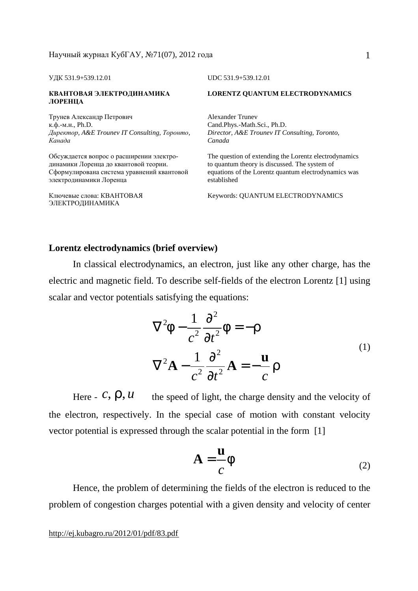УДК 531.9+539.12.01 UDC 531.9+539.12.01

#### **КВАНТОВАЯ ЭЛЕКТРОДИНАМИКА ЛОРЕНЦА**

Трунев Александр Петрович к.ф.-м.н., Ph.D. *Директор, A&E Trounev IT Consulting, Торонто, Канада*

Обсуждается вопрос о расширении электродинамики Лоренца до квантовой теории. Сформулирована система уравнений квантовой электродинамики Лоренца

Ключевые слова: КВАНТОВАЯ ЭЛЕКТРОДИНАМИКА

#### **LORENTZ QUANTUM ELECTRODYNAMICS**

Alexander Trunev Cand.Phys.-Math.Sci., Ph.D. *Director, A&E Trounev IT Consulting, Toronto, Canada* 

The question of extending the Lorentz electrodynamics to quantum theory is discussed. The system of equations of the Lorentz quantum electrodynamics was established

Keywords: QUANTUM ELECTRODYNAMICS

#### **Lorentz electrodynamics (brief overview)**

In classical electrodynamics, an electron, just like any other charge, has the electric and magnetic field. To describe self-fields of the electron Lorentz [1] using scalar and vector potentials satisfying the equations:

$$
\nabla^2 \mathbf{f} - \frac{1}{c^2} \frac{\partial^2}{\partial t^2} \mathbf{f} = -\mathbf{r}
$$
  

$$
\nabla^2 \mathbf{A} - \frac{1}{c^2} \frac{\partial^2}{\partial t^2} \mathbf{A} = -\frac{\mathbf{u}}{c} \mathbf{r}
$$
 (1)

Here  $\epsilon$ ,  $\ell$ ,  $\ell$ ,  $\ell$  the speed of light, the charge density and the velocity of the electron, respectively. In the special case of motion with constant velocity vector potential is expressed through the scalar potential in the form [1]

$$
\mathbf{A} = \frac{\mathbf{u}}{c} f \tag{2}
$$

Hence, the problem of determining the fields of the electron is reduced to the problem of congestion charges potential with a given density and velocity of center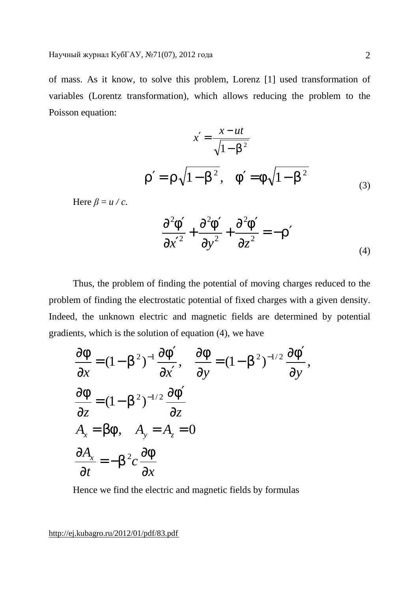of mass. As it know, to solve this problem, Lorenz [1] used transformation of variables (Lorentz transformation), which allows reducing the problem to the Poisson equation:

$$
x' = \frac{x - ut}{\sqrt{1 - b^2}}
$$
  

$$
r' = r\sqrt{1 - b^2}, \quad f' = f\sqrt{1 - b^2}
$$
 (3)

Here  $\beta = u/c$ .

$$
\frac{\partial^2 F}{\partial x'^2} + \frac{\partial^2 F}{\partial y^2} + \frac{\partial^2 F}{\partial z^2} = -r'
$$
\n(4)

Thus, the problem of finding the potential of moving charges reduced to the problem of finding the electrostatic potential of fixed charges with a given density. Indeed, the unknown electric and magnetic fields are determined by potential gradients, which is the solution of equation (4), we have

$$
\frac{\partial f}{\partial x} = (1 - b^2)^{-1} \frac{\partial f'}{\partial x'}, \quad \frac{\partial f}{\partial y} = (1 - b^2)^{-1/2} \frac{\partial f'}{\partial y},
$$
  

$$
\frac{\partial f}{\partial z} = (1 - b^2)^{-1/2} \frac{\partial f'}{\partial z}
$$
  

$$
A_x = bf, \quad A_y = A_z = 0
$$
  

$$
\frac{\partial A_x}{\partial t} = -b^2 c \frac{\partial f}{\partial x}
$$

Hence we find the electric and magnetic fields by formulas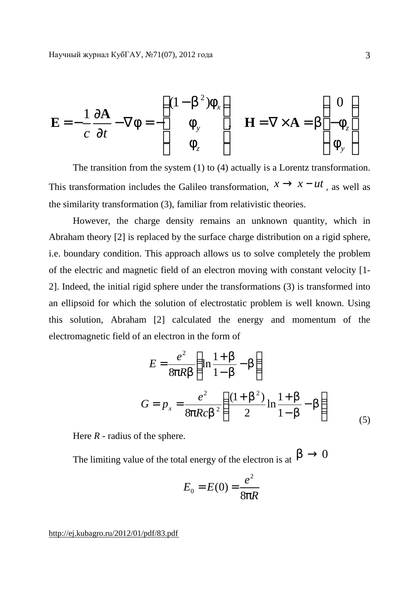$$
\mathbf{E} = -\frac{1}{c} \frac{\partial \mathbf{A}}{\partial t} - \nabla f = -\begin{pmatrix} (1 - b^2) f_x \\ f_y \\ f_z \end{pmatrix} \quad \mathbf{H} = \nabla \times \mathbf{A} = b \begin{pmatrix} 0 \\ -f_z \\ f_y \end{pmatrix}
$$

The transition from the system (1) to (4) actually is a Lorentz transformation. This transformation includes the Galileo transformation,  $x \rightarrow x - ut$ , as well as the similarity transformation (3), familiar from relativistic theories.

However, the charge density remains an unknown quantity, which in Abraham theory [2] is replaced by the surface charge distribution on a rigid sphere, i.e. boundary condition. This approach allows us to solve completely the problem of the electric and magnetic field of an electron moving with constant velocity [1- 2]. Indeed, the initial rigid sphere under the transformations (3) is transformed into an ellipsoid for which the solution of electrostatic problem is well known. Using this solution, Abraham [2] calculated the energy and momentum of the electromagnetic field of an electron in the form of

$$
E = \frac{e^2}{8pRb} \left( \ln \frac{1+b}{1-b} - b \right)
$$
  

$$
G = p_x = \frac{e^2}{8pRcb^2} \left( \frac{(1+b^2)}{2} \ln \frac{1+b}{1-b} - b \right)
$$
 (5)

Here *R* - radius of the sphere.

The limiting value of the total energy of the electron is at  $b \to 0$ 

$$
E_0 = E(0) = \frac{e^2}{8pR}
$$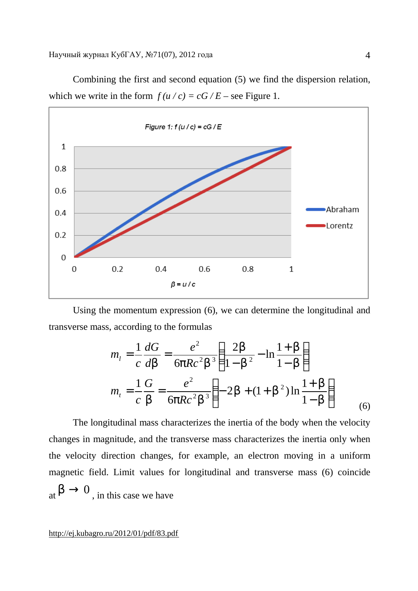

Combining the first and second equation (5) we find the dispersion relation, which we write in the form  $f(u/c) = cG/E$  – see Figure 1.

Using the momentum expression (6), we can determine the longitudinal and transverse mass, according to the formulas

$$
m_{l} = \frac{1}{c} \frac{dG}{db} = \frac{e^{2}}{6pRc^{2}b^{3}} \left( \frac{2b}{1-b^{2}} - \ln \frac{1+b}{1-b} \right)
$$
  

$$
m_{t} = \frac{1}{c} \frac{G}{b} = \frac{e^{2}}{6pRc^{2}b^{3}} \left( -2b + (1+b^{2})\ln \frac{1+b}{1-b} \right)
$$
(6)

The longitudinal mass characterizes the inertia of the body when the velocity changes in magnitude, and the transverse mass characterizes the inertia only when the velocity direction changes, for example, an electron moving in a uniform magnetic field. Limit values for longitudinal and transverse mass (6) coincide at  $b \rightarrow 0$ , in this case we have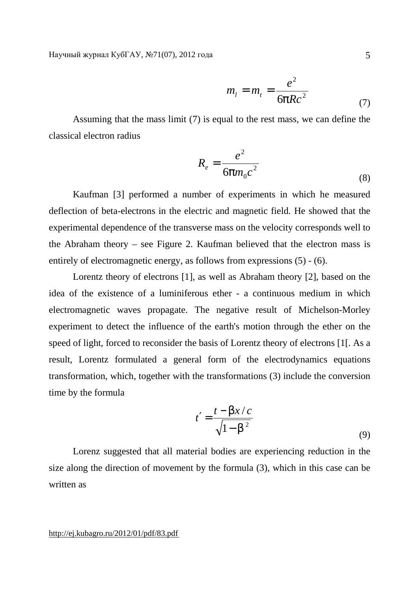$$
m_l = m_t = \frac{e^2}{6pRc^2} \tag{7}
$$

Assuming that the mass limit (7) is equal to the rest mass, we can define the classical electron radius

$$
R_e = \frac{e^2}{6pm_0c^2} \tag{8}
$$

Kaufman [3] performed a number of experiments in which he measured deflection of beta-electrons in the electric and magnetic field. He showed that the experimental dependence of the transverse mass on the velocity corresponds well to the Abraham theory – see Figure 2. Kaufman believed that the electron mass is entirely of electromagnetic energy, as follows from expressions (5) - (6).

Lorentz theory of electrons [1], as well as Abraham theory [2], based on the idea of the existence of a luminiferous ether - a continuous medium in which electromagnetic waves propagate. The negative result of Michelson-Morley experiment to detect the influence of the earth's motion through the ether on the speed of light, forced to reconsider the basis of Lorentz theory of electrons [1[. As a result, Lorentz formulated a general form of the electrodynamics equations transformation, which, together with the transformations (3) include the conversion time by the formula

$$
t' = \frac{t - bx/c}{\sqrt{1 - b^2}}
$$
\n(9)

Lorenz suggested that all material bodies are experiencing reduction in the size along the direction of movement by the formula (3), which in this case can be written as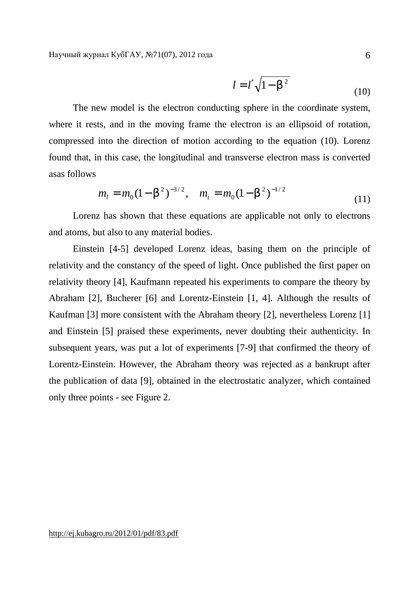$$
l = l' \sqrt{1 - b^2} \tag{10}
$$

The new model is the electron conducting sphere in the coordinate system, where it rests, and in the moving frame the electron is an ellipsoid of rotation, compressed into the direction of motion according to the equation (10). Lorenz found that, in this case, the longitudinal and transverse electron mass is converted asas follows

$$
m_l = m_0 (1 - b^2)^{-3/2}, \quad m_t = m_0 (1 - b^2)^{-1/2}
$$
 (11)

Lorenz has shown that these equations are applicable not only to electrons and atoms, but also to any material bodies.

Einstein [4-5] developed Lorenz ideas, basing them on the principle of relativity and the constancy of the speed of light. Once published the first paper on relativity theory [4], Kaufmann repeated his experiments to compare the theory by Abraham [2], Bucherer [6] and Lorentz-Einstein [1, 4]. Although the results of Kaufman [3] more consistent with the Abraham theory [2], nevertheless Lorenz [1] and Einstein [5] praised these experiments, never doubting their authenticity. In subsequent years, was put a lot of experiments [7-9] that confirmed the theory of Lorentz-Einstein. However, the Abraham theory was rejected as a bankrupt after the publication of data [9], obtained in the electrostatic analyzer, which contained only three points - see Figure 2.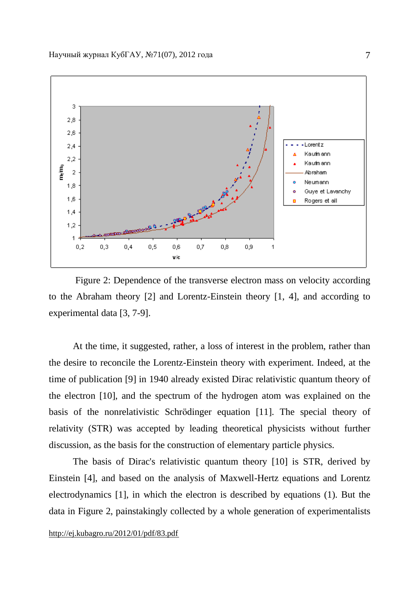

Figure 2: Dependence of the transverse electron mass on velocity according to the Abraham theory [2] and Lorentz-Einstein theory [1, 4], and according to experimental data [3, 7-9].

At the time, it suggested, rather, a loss of interest in the problem, rather than the desire to reconcile the Lorentz-Einstein theory with experiment. Indeed, at the time of publication [9] in 1940 already existed Dirac relativistic quantum theory of the electron [10], and the spectrum of the hydrogen atom was explained on the basis of the nonrelativistic Schrödinger equation [11]. The special theory of relativity (STR) was accepted by leading theoretical physicists without further discussion, as the basis for the construction of elementary particle physics.

The basis of Dirac's relativistic quantum theory [10] is STR, derived by Einstein [4], and based on the analysis of Maxwell-Hertz equations and Lorentz electrodynamics [1], in which the electron is described by equations (1). But the data in Figure 2, painstakingly collected by a whole generation of experimentalists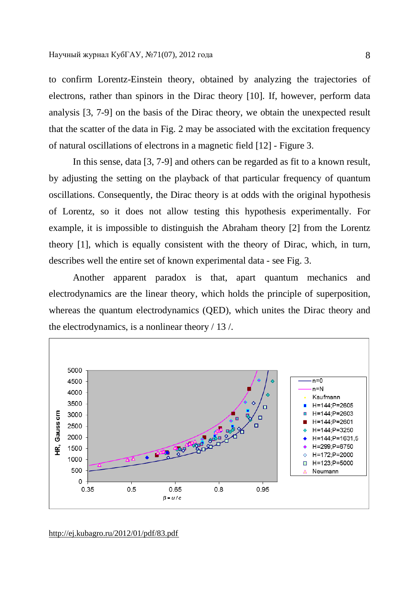to confirm Lorentz-Einstein theory, obtained by analyzing the trajectories of electrons, rather than spinors in the Dirac theory [10]. If, however, perform data analysis [3, 7-9] on the basis of the Dirac theory, we obtain the unexpected result that the scatter of the data in Fig. 2 may be associated with the excitation frequency of natural oscillations of electrons in a magnetic field [12] - Figure 3.

In this sense, data [3, 7-9] and others can be regarded as fit to a known result, by adjusting the setting on the playback of that particular frequency of quantum oscillations. Consequently, the Dirac theory is at odds with the original hypothesis of Lorentz, so it does not allow testing this hypothesis experimentally. For example, it is impossible to distinguish the Abraham theory [2] from the Lorentz theory [1], which is equally consistent with the theory of Dirac, which, in turn, describes well the entire set of known experimental data - see Fig. 3.

Another apparent paradox is that, apart quantum mechanics and electrodynamics are the linear theory, which holds the principle of superposition, whereas the quantum electrodynamics (QED), which unites the Dirac theory and the electrodynamics, is a nonlinear theory / 13 /.



<http://ej.kubagro.ru/2012/01/pdf/83.pdf>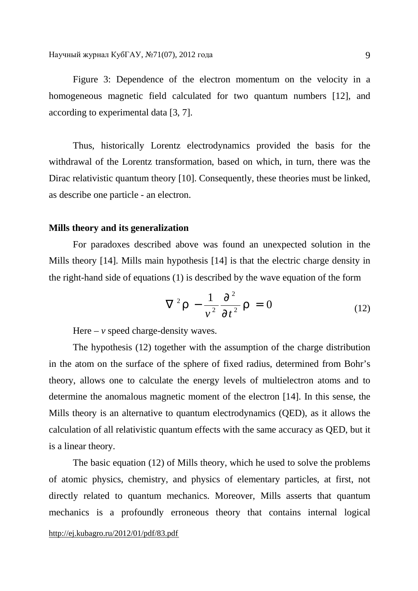Figure 3: Dependence of the electron momentum on the velocity in a homogeneous magnetic field calculated for two quantum numbers [12], and according to experimental data [3, 7].

Thus, historically Lorentz electrodynamics provided the basis for the withdrawal of the Lorentz transformation, based on which, in turn, there was the Dirac relativistic quantum theory [10]. Consequently, these theories must be linked, as describe one particle - an electron.

# **Mills theory and its generalization**

For paradoxes described above was found an unexpected solution in the Mills theory [14]. Mills main hypothesis [14] is that the electric charge density in the right-hand side of equations (1) is described by the wave equation of the form

$$
\nabla^2 \mathbf{r} - \frac{1}{v^2} \frac{\partial^2}{\partial t^2} \mathbf{r} = 0
$$
 (12)

Here –  $\nu$  speed charge-density waves.

The hypothesis (12) together with the assumption of the charge distribution in the atom on the surface of the sphere of fixed radius, determined from Bohr's theory, allows one to calculate the energy levels of multielectron atoms and to determine the anomalous magnetic moment of the electron [14]. In this sense, the Mills theory is an alternative to quantum electrodynamics (QED), as it allows the calculation of all relativistic quantum effects with the same accuracy as QED, but it is a linear theory.

The basic equation (12) of Mills theory, which he used to solve the problems of atomic physics, chemistry, and physics of elementary particles, at first, not directly related to quantum mechanics. Moreover, Mills asserts that quantum mechanics is a profoundly erroneous theory that contains internal logical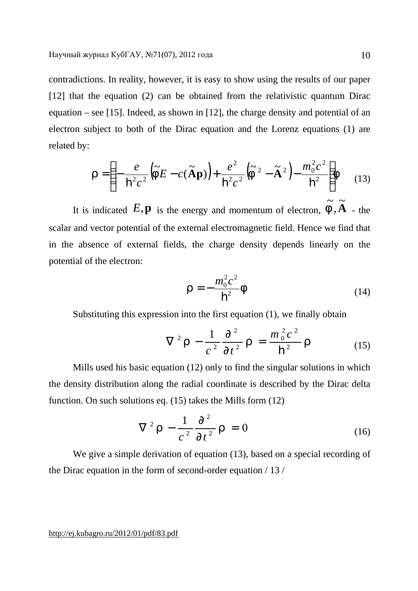contradictions. In reality, however, it is easy to show using the results of our paper [12] that the equation (2) can be obtained from the relativistic quantum Dirac equation – see [15]. Indeed, as shown in [12], the charge density and potential of an electron subject to both of the Dirac equation and the Lorenz equations (1) are related by:

$$
\mathbf{r} = \left(-\frac{e}{\mathbf{h}^2 c^2} \left(\widetilde{F} E - c(\widetilde{\mathbf{A}} \mathbf{p})\right) + \frac{e^2}{\mathbf{h}^2 c^2} \left(\widetilde{F}^2 - \widetilde{\mathbf{A}}^2\right) - \frac{m_0^2 c^2}{\mathbf{h}^2}\right) F \quad (13)
$$

It is indicated  $E, \mathbf{p}$  is the energy and momentum of electron,  $\tilde{f}, \tilde{A}$  $\tilde{r}$ , ~<br>~  $\tilde{f}$ ,  $\tilde{A}$  - the scalar and vector potential of the external electromagnetic field. Hence we find that in the absence of external fields, the charge density depends linearly on the potential of the electron:

$$
\mathbf{r} = -\frac{m_0^2 c^2}{\mathbf{h}^2} \mathbf{f} \tag{14}
$$

Substituting this expression into the first equation (1), we finally obtain

$$
\nabla^2 \mathbf{r} - \frac{1}{c^2} \frac{\partial^2}{\partial t^2} \mathbf{r} = \frac{m_0^2 c^2}{\hbar^2} \mathbf{r}
$$
 (15)

Mills used his basic equation (12) only to find the singular solutions in which the density distribution along the radial coordinate is described by the Dirac delta function. On such solutions eq. (15) takes the Mills form (12)

$$
\nabla^2 \mathbf{r} - \frac{1}{c^2} \frac{\partial^2}{\partial t^2} \mathbf{r} = 0
$$
 (16)

We give a simple derivation of equation (13), based on a special recording of the Dirac equation in the form of second-order equation / 13 /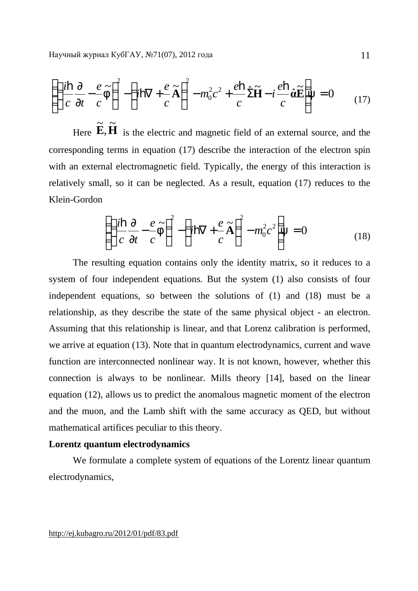$$
\left( \left( \frac{i\mathbf{h}}{c} \frac{\partial}{\partial t} - \frac{e}{c} \tilde{f} \right)^2 - \left( i\mathbf{h} \nabla + \frac{e}{c} \tilde{A} \right)^2 - m_0^2 c^2 + \frac{e\mathbf{h}}{c} \hat{\Sigma} \tilde{H} - i \frac{e\mathbf{h}}{c} \hat{\mathbf{a}} \tilde{E} \right) = 0 \tag{17}
$$

Here  $\widetilde{\mathbf{E}}$ ,  $\widetilde{\mathbf{H}}$ .<br>ñ , .<br>ቮ is the electric and magnetic field of an external source, and the corresponding terms in equation (17) describe the interaction of the electron spin with an external electromagnetic field. Typically, the energy of this interaction is relatively small, so it can be neglected. As a result, equation (17) reduces to the Klein-Gordon

$$
\left( \left( \frac{i\mathbf{h}}{c} \frac{\partial}{\partial t} - \frac{e}{c} \widetilde{F} \right)^2 - \left( i\mathbf{h} \nabla + \frac{e}{c} \widetilde{A} \right)^2 - m_0^2 c^2 \right) = 0 \tag{18}
$$

The resulting equation contains only the identity matrix, so it reduces to a system of four independent equations. But the system (1) also consists of four independent equations, so between the solutions of (1) and (18) must be a relationship, as they describe the state of the same physical object - an electron. Assuming that this relationship is linear, and that Lorenz calibration is performed, we arrive at equation (13). Note that in quantum electrodynamics, current and wave function are interconnected nonlinear way. It is not known, however, whether this connection is always to be nonlinear. Mills theory [14], based on the linear equation (12), allows us to predict the anomalous magnetic moment of the electron and the muon, and the Lamb shift with the same accuracy as QED, but without mathematical artifices peculiar to this theory.

### **Lorentz quantum electrodynamics**

We formulate a complete system of equations of the Lorentz linear quantum electrodynamics,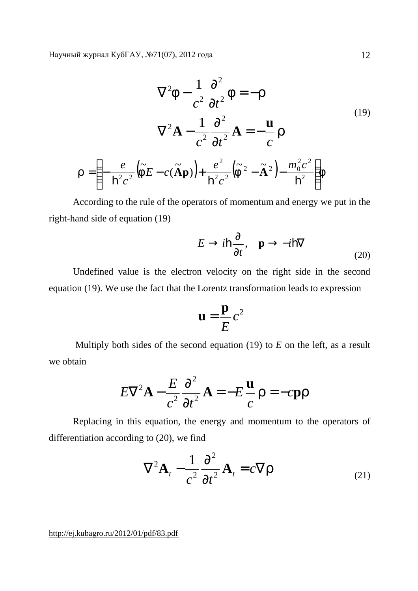$$
\nabla^2 \mathbf{f} - \frac{1}{c^2} \frac{\partial^2}{\partial t^2} \mathbf{f} = -\mathbf{r}
$$
  

$$
\nabla^2 \mathbf{A} - \frac{1}{c^2} \frac{\partial^2}{\partial t^2} \mathbf{A} = -\frac{\mathbf{u}}{c} \mathbf{r}
$$
  

$$
r = \left( -\frac{e}{\mathbf{h}^2 c^2} \left( \tilde{\mathbf{f}} E - c(\tilde{\mathbf{A}} \mathbf{p}) \right) + \frac{e^2}{\mathbf{h}^2 c^2} \left( \tilde{\mathbf{f}}^2 - \tilde{\mathbf{A}}^2 \right) - \frac{m_0^2 c^2}{\mathbf{h}^2} \right) \mathbf{f}
$$
 (19)

According to the rule of the operators of momentum and energy we put in the right-hand side of equation (19)

$$
E \to i\mathbf{h}\frac{\partial}{\partial t}, \quad \mathbf{p} \to -i\mathbf{h}\nabla
$$
 (20)

Undefined value is the electron velocity on the right side in the second equation (19). We use the fact that the Lorentz transformation leads to expression

$$
\mathbf{u} = \frac{\mathbf{p}}{E}c^2
$$

Multiply both sides of the second equation (19) to *E* on the left, as a result we obtain

$$
E\nabla^2 \mathbf{A} - \frac{E}{c^2} \frac{\partial^2}{\partial t^2} \mathbf{A} = -E \frac{\mathbf{u}}{c} \mathbf{r} = -c \mathbf{p} \mathbf{r}
$$

Replacing in this equation, the energy and momentum to the operators of differentiation according to (20), we find

$$
\nabla^2 \mathbf{A}_t - \frac{1}{c^2} \frac{\partial^2}{\partial t^2} \mathbf{A}_t = c \nabla \mathbf{r}
$$
 (21)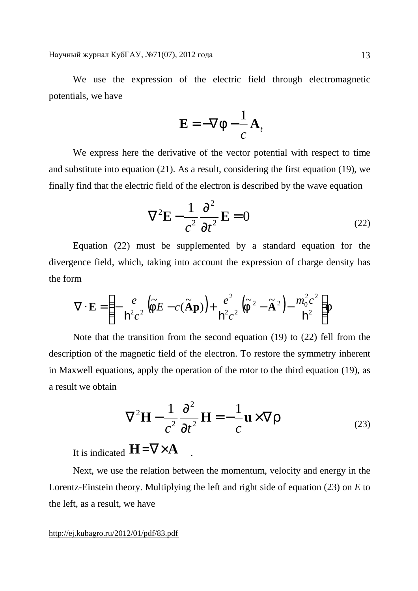We use the expression of the electric field through electromagnetic potentials, we have

$$
\mathbf{E} = -\nabla f - \frac{1}{c} \mathbf{A}_t
$$

We express here the derivative of the vector potential with respect to time and substitute into equation (21). As a result, considering the first equation (19), we finally find that the electric field of the electron is described by the wave equation

$$
\nabla^2 \mathbf{E} - \frac{1}{c^2} \frac{\partial^2}{\partial t^2} \mathbf{E} = 0
$$
 (22)

Equation (22) must be supplemented by a standard equation for the divergence field, which, taking into account the expression of charge density has the form

$$
\nabla \cdot \mathbf{E} = \left( -\frac{e}{\mathbf{h}^2 c^2} \left( \tilde{f} E - c \left( \tilde{\mathbf{A}} \mathbf{p} \right) \right) + \frac{e^2}{\mathbf{h}^2 c^2} \left( \tilde{f}^2 - \tilde{\mathbf{A}}^2 \right) - \frac{m_0^2 c^2}{\mathbf{h}^2} \right) f
$$

Note that the transition from the second equation (19) to (22) fell from the description of the magnetic field of the electron. To restore the symmetry inherent in Maxwell equations, apply the operation of the rotor to the third equation (19), as a result we obtain

$$
\nabla^2 \mathbf{H} - \frac{1}{c^2} \frac{\partial^2}{\partial t^2} \mathbf{H} = -\frac{1}{c} \mathbf{u} \times \nabla r
$$
 (23)

It is indicated **H**=∇×**A** .

Next, we use the relation between the momentum, velocity and energy in the Lorentz-Einstein theory. Multiplying the left and right side of equation (23) on *E* to the left, as a result, we have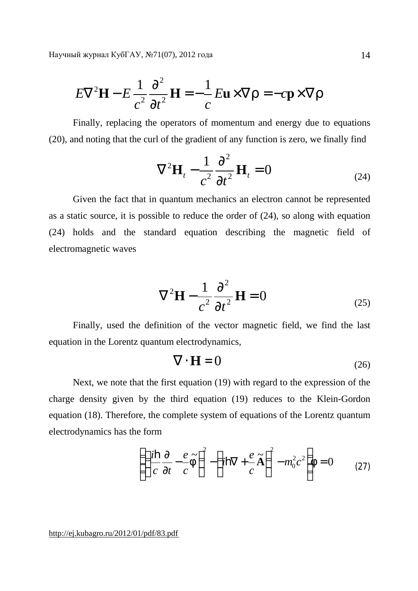$$
E\nabla^2 \mathbf{H} - E \frac{1}{c^2} \frac{\partial^2}{\partial t^2} \mathbf{H} = -\frac{1}{c} E \mathbf{u} \times \nabla \mathbf{r} = -c \mathbf{p} \times \nabla \mathbf{r}
$$

Finally, replacing the operators of momentum and energy due to equations (20), and noting that the curl of the gradient of any function is zero, we finally find

$$
\nabla^2 \mathbf{H}_t - \frac{1}{c^2} \frac{\partial^2}{\partial t^2} \mathbf{H}_t = 0
$$
 (24)

Given the fact that in quantum mechanics an electron cannot be represented as a static source, it is possible to reduce the order of (24), so along with equation (24) holds and the standard equation describing the magnetic field of electromagnetic waves

$$
\nabla^2 \mathbf{H} - \frac{1}{c^2} \frac{\partial^2}{\partial t^2} \mathbf{H} = 0
$$
 (25)

Finally, used the definition of the vector magnetic field, we find the last equation in the Lorentz quantum electrodynamics,

$$
\nabla \cdot \mathbf{H} = 0 \tag{26}
$$

Next, we note that the first equation (19) with regard to the expression of the charge density given by the third equation (19) reduces to the Klein-Gordon equation (18). Therefore, the complete system of equations of the Lorentz quantum electrodynamics has the form

$$
\left( \left( \frac{i\mathbf{h}}{c} \frac{\partial}{\partial t} - \frac{e}{c} \widetilde{f} \right)^2 - \left( i\mathbf{h} \nabla + \frac{e}{c} \widetilde{A} \right)^2 - m_0^2 c^2 \right) f = 0 \tag{27}
$$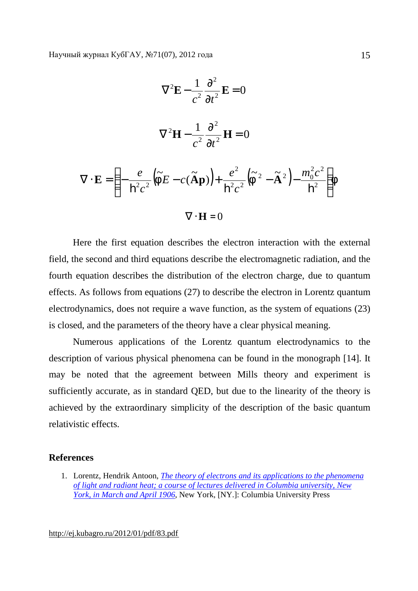$$
\nabla^2 \mathbf{E} - \frac{1}{c^2} \frac{\partial^2}{\partial t^2} \mathbf{E} = 0
$$
  

$$
\nabla^2 \mathbf{H} - \frac{1}{c^2} \frac{\partial^2}{\partial t^2} \mathbf{H} = 0
$$
  

$$
\nabla \cdot \mathbf{E} = \left( -\frac{e}{\mathbf{h}^2 c^2} \left( \tilde{F} E - c \left( \tilde{A} \mathbf{p} \right) \right) + \frac{e^2}{\mathbf{h}^2 c^2} \left( \tilde{F}^2 - \tilde{A}^2 \right) - \frac{m_0^2 c^2}{\mathbf{h}^2} \right) F
$$
  

$$
\nabla \cdot \mathbf{H} = 0
$$

Here the first equation describes the electron interaction with the external field, the second and third equations describe the electromagnetic radiation, and the fourth equation describes the distribution of the electron charge, due to quantum effects. As follows from equations (27) to describe the electron in Lorentz quantum electrodynamics, does not require a wave function, as the system of equations (23) is closed, and the parameters of the theory have a clear physical meaning.

Numerous applications of the Lorentz quantum electrodynamics to the description of various physical phenomena can be found in the monograph [14]. It may be noted that the agreement between Mills theory and experiment is sufficiently accurate, as in standard QED, but due to the linearity of the theory is achieved by the extraordinary simplicity of the description of the basic quantum relativistic effects.

## **References**

1. Lorentz, Hendrik Antoon, *The theory of electrons and its applications to the phenomena of light and radiant heat; a course of lectures delivered in Columbia university, New York, in March and April 1906*, New York, [NY.]: Columbia University Press